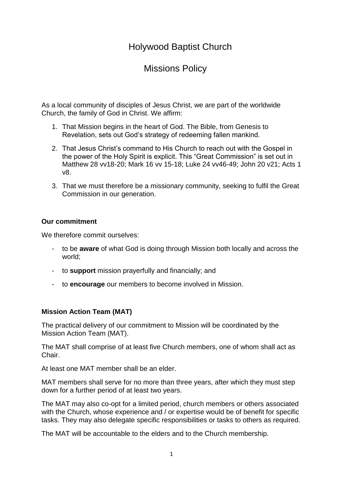# Holywood Baptist Church

# Missions Policy

As a local community of disciples of Jesus Christ, we are part of the worldwide Church, the family of God in Christ. We affirm:

- 1. That Mission begins in the heart of God. The Bible, from Genesis to Revelation, sets out God's strategy of redeeming fallen mankind.
- 2. That Jesus Christ's command to His Church to reach out with the Gospel in the power of the Holy Spirit is explicit. This "Great Commission" is set out in Matthew 28 vv18-20; Mark 16 vv 15-18; Luke 24 vv46-49; John 20 v21; Acts 1 v8.
- 3. That we must therefore be a missionary community, seeking to fulfil the Great Commission in our generation.

# **Our commitment**

We therefore commit ourselves:

- to be **aware** of what God is doing through Mission both locally and across the world;
- to **support** mission prayerfully and financially; and
- to **encourage** our members to become involved in Mission.

# **Mission Action Team (MAT)**

The practical delivery of our commitment to Mission will be coordinated by the Mission Action Team (MAT).

The MAT shall comprise of at least five Church members, one of whom shall act as Chair.

At least one MAT member shall be an elder.

MAT members shall serve for no more than three years, after which they must step down for a further period of at least two years.

The MAT may also co-opt for a limited period, church members or others associated with the Church, whose experience and / or expertise would be of benefit for specific tasks. They may also delegate specific responsibilities or tasks to others as required.

The MAT will be accountable to the elders and to the Church membership.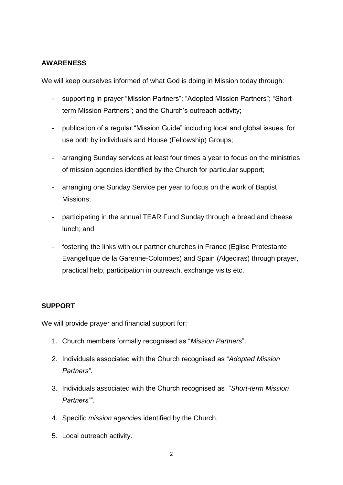# **AWARENESS**

We will keep ourselves informed of what God is doing in Mission today through:

- supporting in prayer "Mission Partners"; "Adopted Mission Partners"; "Shortterm Mission Partners"; and the Church's outreach activity;
- publication of a regular "Mission Guide" including local and global issues, for use both by individuals and House (Fellowship) Groups;
- arranging Sunday services at least four times a year to focus on the ministries of mission agencies identified by the Church for particular support;
- arranging one Sunday Service per year to focus on the work of Baptist Missions;
- participating in the annual TEAR Fund Sunday through a bread and cheese lunch; and
- fostering the links with our partner churches in France (Eglise Protestante Evangelique de la Garenne-Colombes) and Spain (Algeciras) through prayer, practical help, participation in outreach, exchange visits etc.

# **SUPPORT**

We will provide prayer and financial support for:

- 1. Church members formally recognised as "*Mission Partners*".
- 2. Individuals associated with the Church recognised as "*Adopted Mission Partners"*.
- 3. Individuals associated with the Church recognised as "*Short-term Mission Partners"*".
- 4. Specific *mission agencies* identified by the Church.
- 5. Local outreach activity.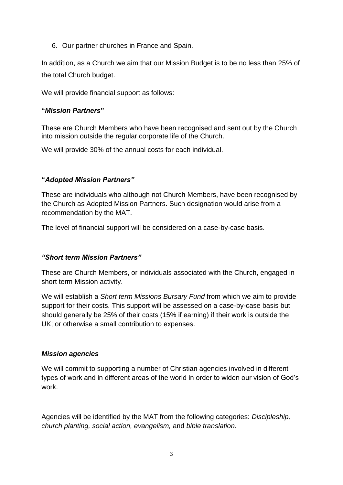6. Our partner churches in France and Spain.

In addition, as a Church we aim that our Mission Budget is to be no less than 25% of the total Church budget.

We will provide financial support as follows:

#### **"***Mission Partners***"**

These are Church Members who have been recognised and sent out by the Church into mission outside the regular corporate life of the Church.

We will provide 30% of the annual costs for each individual.

# **"***Adopted Mission Partners"*

These are individuals who although not Church Members, have been recognised by the Church as Adopted Mission Partners. Such designation would arise from a recommendation by the MAT.

The level of financial support will be considered on a case-by-case basis.

# *"Short term Mission Partners"*

These are Church Members, or individuals associated with the Church, engaged in short term Mission activity.

We will establish a *Short term Missions Bursary Fund* from which we aim to provide support for their costs. This support will be assessed on a case-by-case basis but should generally be 25% of their costs (15% if earning) if their work is outside the UK; or otherwise a small contribution to expenses.

#### *Mission agencies*

We will commit to supporting a number of Christian agencies involved in different types of work and in different areas of the world in order to widen our vision of God's work.

Agencies will be identified by the MAT from the following categories: *Discipleship, church planting, social action, evangelism,* and *bible translation.*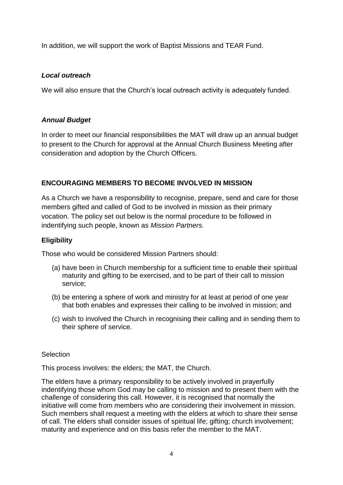In addition, we will support the work of Baptist Missions and TEAR Fund.

#### *Local outreach*

We will also ensure that the Church's local outreach activity is adequately funded.

#### *Annual Budget*

In order to meet our financial responsibilities the MAT will draw up an annual budget to present to the Church for approval at the Annual Church Business Meeting after consideration and adoption by the Church Officers.

# **ENCOURAGING MEMBERS TO BECOME INVOLVED IN MISSION**

As a Church we have a responsibility to recognise, prepare, send and care for those members gifted and called of God to be involved in mission as their primary vocation. The policy set out below is the normal procedure to be followed in indentifying such people, known as *Mission Partners.*

#### **Eligibility**

Those who would be considered Mission Partners should:

- (a) have been in Church membership for a sufficient time to enable their spiritual maturity and gifting to be exercised, and to be part of their call to mission service;
- (b) be entering a sphere of work and ministry for at least at period of one year that both enables and expresses their calling to be involved in mission; and
- (c) wish to involved the Church in recognising their calling and in sending them to their sphere of service.

#### **Selection**

This process involves: the elders; the MAT, the Church.

The elders have a primary responsibility to be actively involved in prayerfully indentifying those whom God may be calling to mission and to present them with the challenge of considering this call. However, it is recognised that normally the initiative will come from members who are considering their involvement in mission. Such members shall request a meeting with the elders at which to share their sense of call. The elders shall consider issues of spiritual life; gifting; church involvement; maturity and experience and on this basis refer the member to the MAT.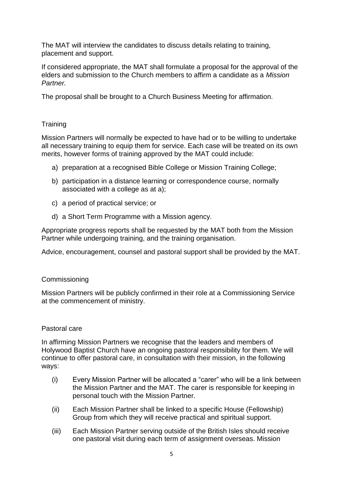The MAT will interview the candidates to discuss details relating to training, placement and support.

If considered appropriate, the MAT shall formulate a proposal for the approval of the elders and submission to the Church members to affirm a candidate as a *Mission Partner.*

The proposal shall be brought to a Church Business Meeting for affirmation.

# **Training**

Mission Partners will normally be expected to have had or to be willing to undertake all necessary training to equip them for service. Each case will be treated on its own merits, however forms of training approved by the MAT could include:

- a) preparation at a recognised Bible College or Mission Training College;
- b) participation in a distance learning or correspondence course, normally associated with a college as at a);
- c) a period of practical service; or
- d) a Short Term Programme with a Mission agency.

Appropriate progress reports shall be requested by the MAT both from the Mission Partner while undergoing training, and the training organisation.

Advice, encouragement, counsel and pastoral support shall be provided by the MAT.

# Commissioning

Mission Partners will be publicly confirmed in their role at a Commissioning Service at the commencement of ministry.

# Pastoral care

In affirming Mission Partners we recognise that the leaders and members of Holywood Baptist Church have an ongoing pastoral responsibility for them. We will continue to offer pastoral care, in consultation with their mission, in the following ways:

- (i) Every Mission Partner will be allocated a "carer" who will be a link between the Mission Partner and the MAT. The carer is responsible for keeping in personal touch with the Mission Partner.
- (ii) Each Mission Partner shall be linked to a specific House (Fellowship) Group from which they will receive practical and spiritual support.
- (iii) Each Mission Partner serving outside of the British Isles should receive one pastoral visit during each term of assignment overseas. Mission